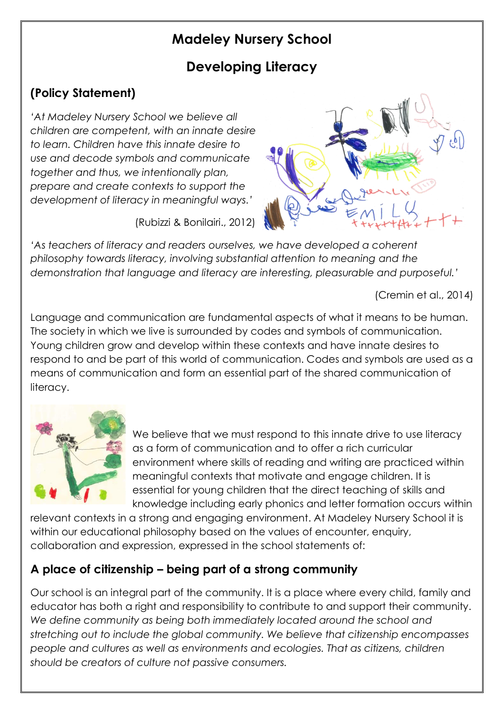# **Madeley Nursery School**

# **Developing Literacy**

# **(Policy Statement)**

*'At Madeley Nursery School we believe all children are competent, with an innate desire to learn. Children have this innate desire to use and decode symbols and communicate together and thus, we intentionally plan, prepare and create contexts to support the development of literacy in meaningful ways.'*

(Rubizzi & Bonilairi., 2012)



'As teachers of literacy and readers ourselves, we have developed a coherent *philosophy towards literacy, involving substantial attention to meaning and the demonstration that language and literacy are interesting, pleasurable and purposeful.'*

(Cremin et al., 2014)

Language and communication are fundamental aspects of what it means to be human. The society in which we live is surrounded by codes and symbols of communication. Young children grow and develop within these contexts and have innate desires to respond to and be part of this world of communication. Codes and symbols are used as a means of communication and form an essential part of the shared communication of literacy.



We believe that we must respond to this innate drive to use literacy as a form of communication and to offer a rich curricular environment where skills of reading and writing are practiced within meaningful contexts that motivate and engage children. It is essential for young children that the direct teaching of skills and knowledge including early phonics and letter formation occurs within

relevant contexts in a strong and engaging environment. At Madeley Nursery School it is within our educational philosophy based on the values of encounter, enquiry, collaboration and expression, expressed in the school statements of:

# **A place of citizenship – being part of a strong community**

Our school is an integral part of the community. It is a place where every child, family and educator has both a right and responsibility to contribute to and support their community. We define community as being both immediately located around the school and *stretching out to include the global community. We believe that citizenship encompasses people and cultures as well as environments and ecologies. That as citizens, children should be creators of culture not passive consumers.*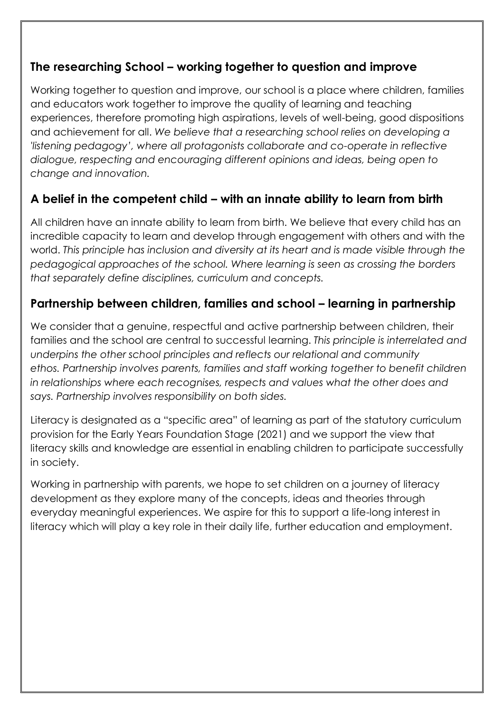## **The researching School – working together to question and improve**

Working together to question and improve, our school is a place where children, families and educators work together to improve the quality of learning and teaching experiences, therefore promoting high aspirations, levels of well-being, good dispositions and achievement for all. *We believe that a researching school relies on developing a 'listening pedagogy', where all protagonists collaborate and co-operate in reflective dialogue, respecting and encouraging different opinions and ideas, being open to change and innovation.*

# **A belief in the competent child – with an innate ability to learn from birth**

All children have an innate ability to learn from birth. We believe that every child has an incredible capacity to learn and develop through engagement with others and with the world. *This principle has inclusion and diversity at its heart and is made visible through the pedagogical approaches of the school. Where learning is seen as crossing the borders that separately define disciplines, curriculum and concepts.*

## **Partnership between children, families and school – learning in partnership**

We consider that a genuine, respectful and active partnership between children, their families and the school are central to successful learning. *This principle is interrelated and underpins the other school principles and reflects our relational and community ethos. Partnership involves parents, families and staff working together to benefit children in relationships where each recognises, respects and values what the other does and says. Partnership involves responsibility on both sides.*

Literacy is designated as a "specific area" of learning as part of the statutory curriculum provision for the Early Years Foundation Stage (2021) and we support the view that literacy skills and knowledge are essential in enabling children to participate successfully in society.

Working in partnership with parents, we hope to set children on a journey of literacy development as they explore many of the concepts, ideas and theories through everyday meaningful experiences. We aspire for this to support a life-long interest in literacy which will play a key role in their daily life, further education and employment.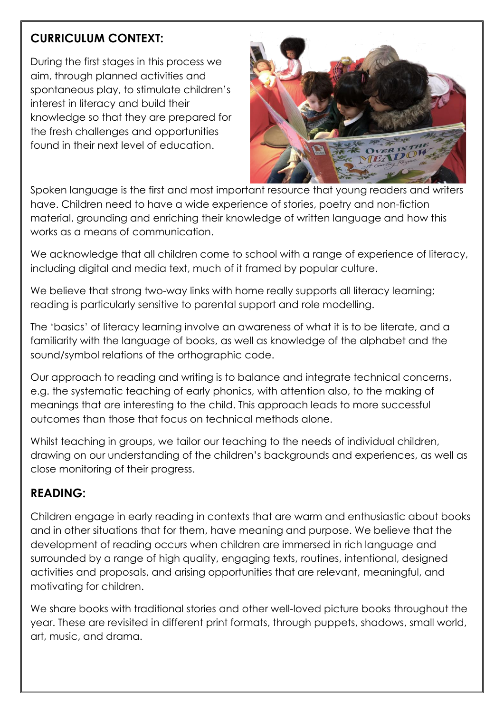# **CURRICULUM CONTEXT:**

During the first stages in this process we aim, through planned activities and spontaneous play, to stimulate children's interest in literacy and build their knowledge so that they are prepared for the fresh challenges and opportunities found in their next level of education.



Spoken language is the first and most important resource that young readers and writers have. Children need to have a wide experience of stories, poetry and non-fiction material, grounding and enriching their knowledge of written language and how this works as a means of communication.

We acknowledge that all children come to school with a range of experience of literacy, including digital and media text, much of it framed by popular culture.

We believe that strong two-way links with home really supports all literacy learning; reading is particularly sensitive to parental support and role modelling.

The 'basics' of literacy learning involve an awareness of what it is to be literate, and a familiarity with the language of books, as well as knowledge of the alphabet and the sound/symbol relations of the orthographic code.

Our approach to reading and writing is to balance and integrate technical concerns, e.g. the systematic teaching of early phonics, with attention also, to the making of meanings that are interesting to the child. This approach leads to more successful outcomes than those that focus on technical methods alone.

Whilst teaching in groups, we tailor our teaching to the needs of individual children, drawing on our understanding of the children's backgrounds and experiences, as well as close monitoring of their progress.

## **READING:**

Children engage in early reading in contexts that are warm and enthusiastic about books and in other situations that for them, have meaning and purpose. We believe that the development of reading occurs when children are immersed in rich language and surrounded by a range of high quality, engaging texts, routines, intentional, designed activities and proposals, and arising opportunities that are relevant, meaningful, and motivating for children.

We share books with traditional stories and other well-loved picture books throughout the year. These are revisited in different print formats, through puppets, shadows, small world, art, music, and drama.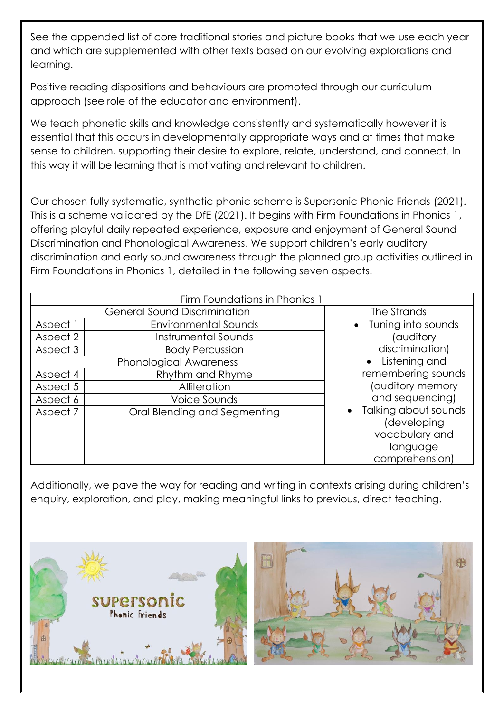See the appended list of core traditional stories and picture books that we use each year and which are supplemented with other texts based on our evolving explorations and learning.

Positive reading dispositions and behaviours are promoted through our curriculum approach (see role of the educator and environment).

We teach phonetic skills and knowledge consistently and systematically however it is essential that this occurs in developmentally appropriate ways and at times that make sense to children, supporting their desire to explore, relate, understand, and connect. In this way it will be learning that is motivating and relevant to children.

Our chosen fully systematic, synthetic phonic scheme is Supersonic Phonic Friends (2021). This is a scheme validated by the DfE (2021). It begins with Firm Foundations in Phonics 1, offering playful daily repeated experience, exposure and enjoyment of General Sound Discrimination and Phonological Awareness. We support children's early auditory discrimination and early sound awareness through the planned group activities outlined in Firm Foundations in Phonics 1, detailed in the following seven aspects.

| Firm Foundations in Phonics 1 |                                     |                                                                                     |  |  |
|-------------------------------|-------------------------------------|-------------------------------------------------------------------------------------|--|--|
|                               | <b>General Sound Discrimination</b> | The Strands                                                                         |  |  |
| Aspect 1                      | <b>Environmental Sounds</b>         | • Tuning into sounds                                                                |  |  |
| Aspect 2                      | Instrumental Sounds                 | auditory)                                                                           |  |  |
| Aspect 3                      | <b>Body Percussion</b>              | discrimination)                                                                     |  |  |
| <b>Phonological Awareness</b> |                                     | • Listening and                                                                     |  |  |
| Aspect 4                      | Rhythm and Rhyme                    | remembering sounds                                                                  |  |  |
| Aspect 5                      | Alliteration                        | (auditory memory                                                                    |  |  |
| Aspect 6                      | Voice Sounds                        | and sequencing)                                                                     |  |  |
| Aspect 7                      | Oral Blending and Segmenting        | Talking about sounds<br>(developing<br>vocabulary and<br>language<br>comprehension) |  |  |

Additionally, we pave the way for reading and writing in contexts arising during children's enquiry, exploration, and play, making meaningful links to previous, direct teaching.

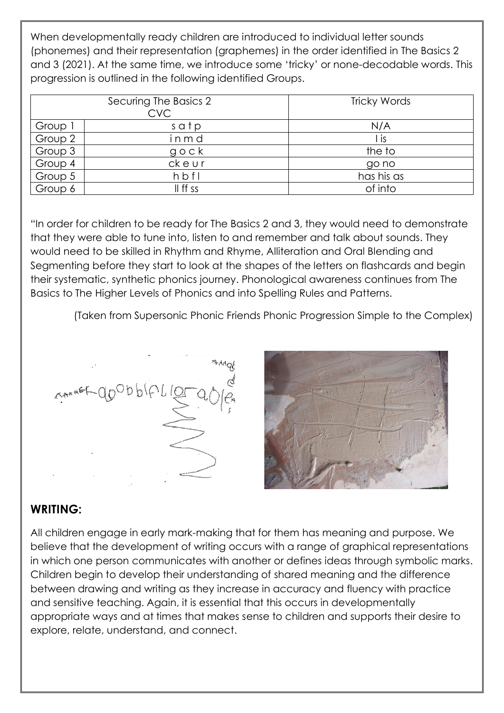When developmentally ready children are introduced to individual letter sounds (phonemes) and their representation (graphemes) in the order identified in The Basics 2 and 3 (2021). At the same time, we introduce some 'tricky' or none-decodable words. This progression is outlined in the following identified Groups.

| Securing The Basics 2<br><b>CVC</b> |               | Tricky Words |  |
|-------------------------------------|---------------|--------------|--|
| Group 1                             | satp          | N/A          |  |
| Group 2                             | inmd          | l is         |  |
| Group 3                             | $g \circ c k$ | the to       |  |
| Group 4                             | ckeur         | go no        |  |
| Group 5                             | hbfl          | has his as   |  |
| Group 6                             | II ff ss      | of into      |  |

"In order for children to be ready for The Basics 2 and 3, they would need to demonstrate that they were able to tune into, listen to and remember and talk about sounds. They would need to be skilled in Rhythm and Rhyme, Alliteration and Oral Blending and Segmenting before they start to look at the shapes of the letters on flashcards and begin their systematic, synthetic phonics journey. Phonological awareness continues from The Basics to The Higher Levels of Phonics and into Spelling Rules and Patterns.

(Taken from Supersonic Phonic Friends Phonic Progression Simple to the Complex)



## **WRITING:**

All children engage in early mark-making that for them has meaning and purpose. We believe that the development of writing occurs with a range of graphical representations in which one person communicates with another or defines ideas through symbolic marks. Children begin to develop their understanding of shared meaning and the difference between drawing and writing as they increase in accuracy and fluency with practice and sensitive teaching. Again, it is essential that this occurs in developmentally appropriate ways and at times that makes sense to children and supports their desire to explore, relate, understand, and connect.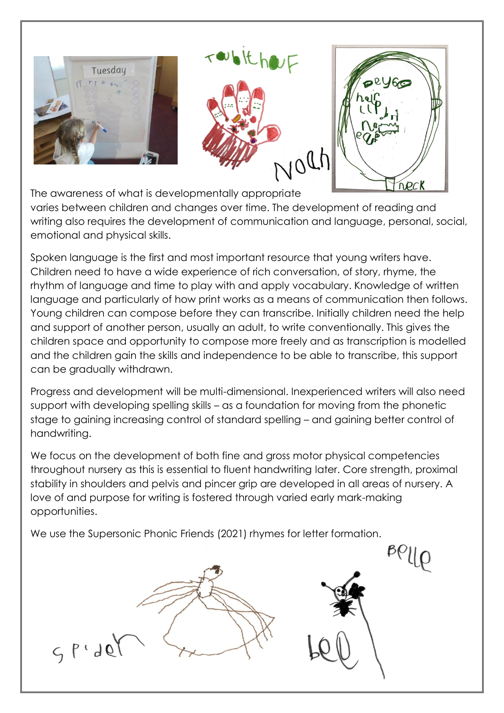

The awareness of what is developmentally appropriate varies between children and changes over time. The development of reading and writing also requires the development of communication and language, personal, social, emotional and physical skills.

Spoken language is the first and most important resource that young writers have. Children need to have a wide experience of rich conversation, of story, rhyme, the rhythm of language and time to play with and apply vocabulary. Knowledge of written language and particularly of how print works as a means of communication then follows. Young children can compose before they can transcribe. Initially children need the help and support of another person, usually an adult, to write conventionally. This gives the children space and opportunity to compose more freely and as transcription is modelled and the children gain the skills and independence to be able to transcribe, this support can be gradually withdrawn.

Progress and development will be multi-dimensional. Inexperienced writers will also need support with developing spelling skills – as a foundation for moving from the phonetic stage to gaining increasing control of standard spelling – and gaining better control of handwriting.

We focus on the development of both fine and gross motor physical competencies throughout nursery as this is essential to fluent handwriting later. Core strength, proximal stability in shoulders and pelvis and pincer grip are developed in all areas of nursery. A love of and purpose for writing is fostered through varied early mark-making opportunities.

 $BQUQ$ 

We use the Supersonic Phonic Friends (2021) rhymes for letter formation.

 $C, P \cup Q$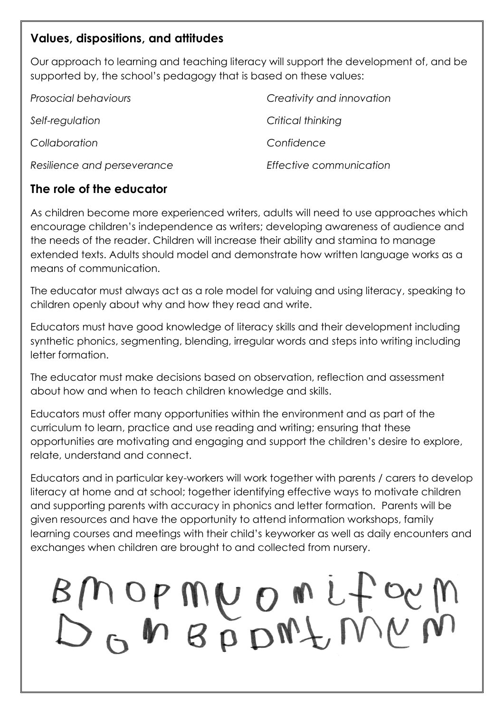#### **Values, dispositions, and attitudes**

Our approach to learning and teaching literacy will support the development of, and be supported by, the school's pedagogy that is based on these values:

| Prosocial behaviours        | Creativity and innovation |
|-----------------------------|---------------------------|
| Self-regulation             | Critical thinking         |
| Collaboration               | Confidence                |
| Resilience and perseverance | Effective communication   |

## **The role of the educator**

As children become more experienced writers, adults will need to use approaches which encourage children's independence as writers; developing awareness of audience and the needs of the reader. Children will increase their ability and stamina to manage extended texts. Adults should model and demonstrate how written language works as a means of communication.

The educator must always act as a role model for valuing and using literacy, speaking to children openly about why and how they read and write.

Educators must have good knowledge of literacy skills and their development including synthetic phonics, segmenting, blending, irregular words and steps into writing including letter formation.

The educator must make decisions based on observation, reflection and assessment about how and when to teach children knowledge and skills.

Educators must offer many opportunities within the environment and as part of the curriculum to learn, practice and use reading and writing; ensuring that these opportunities are motivating and engaging and support the children's desire to explore, relate, understand and connect.

Educators and in particular key-workers will work together with parents / carers to develop literacy at home and at school; together identifying effective ways to motivate children and supporting parents with accuracy in phonics and letter formation. Parents will be given resources and have the opportunity to attend information workshops, family learning courses and meetings with their child's keyworker as well as daily encounters and exchanges when children are brought to and collected from nursery.

# BMOPMUOMLform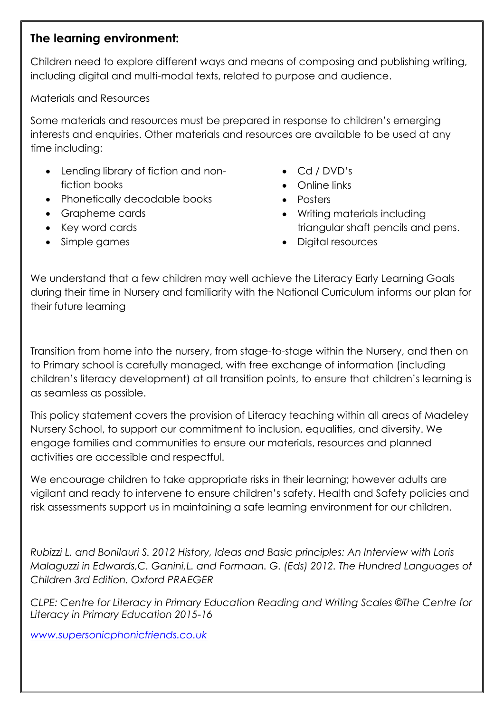#### **The learning environment:**

Children need to explore different ways and means of composing and publishing writing, including digital and multi-modal texts, related to purpose and audience.

Materials and Resources

Some materials and resources must be prepared in response to children's emerging interests and enquiries. Other materials and resources are available to be used at any time including:

- Lending library of fiction and nonfiction books
- Phonetically decodable books
- Grapheme cards
- Key word cards
- Simple games
- Cd / DVD's
- Online links
- Posters
- Writing materials including triangular shaft pencils and pens.
- Digital resources

We understand that a few children may well achieve the Literacy Early Learning Goals during their time in Nursery and familiarity with the National Curriculum informs our plan for their future learning

Transition from home into the nursery, from stage-to-stage within the Nursery, and then on to Primary school is carefully managed, with free exchange of information (including children's literacy development) at all transition points, to ensure that children's learning is as seamless as possible.

This policy statement covers the provision of Literacy teaching within all areas of Madeley Nursery School, to support our commitment to inclusion, equalities, and diversity. We engage families and communities to ensure our materials, resources and planned activities are accessible and respectful.

We encourage children to take appropriate risks in their learning; however adults are vigilant and ready to intervene to ensure children's safety. Health and Safety policies and risk assessments support us in maintaining a safe learning environment for our children.

*Rubizzi L. and Bonilauri S. 2012 History, Ideas and Basic principles: An Interview with Loris Malaguzzi in Edwards,C. Ganini,L. and Formaan. G. (Eds) 2012. The Hundred Languages of Children 3rd Edition. Oxford PRAEGER*

*CLPE: Centre for Literacy in Primary Education Reading and Writing Scales ©The Centre for Literacy in Primary Education 2015-16*

*[www.supersonicphonicfriends.co.uk](http://www.supersonicphonicfriends.co.uk/)*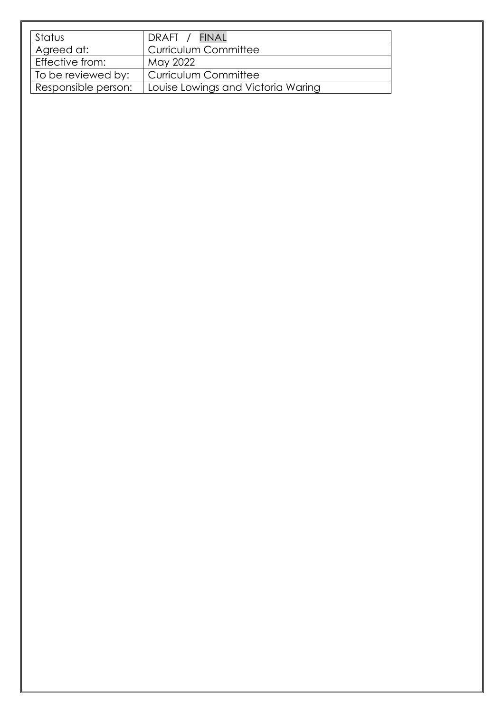| Status              | DRAFT / FINAL                      |  |
|---------------------|------------------------------------|--|
| Agreed at:          | <b>Curriculum Committee</b>        |  |
| Effective from:     | May 2022                           |  |
| To be reviewed by:  | <b>Curriculum Committee</b>        |  |
| Responsible person: | Louise Lowings and Victoria Waring |  |